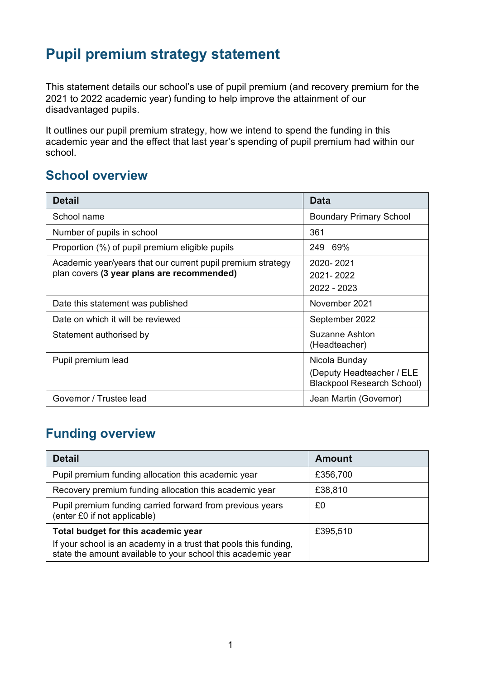# **Pupil premium strategy statement**

This statement details our school's use of pupil premium (and recovery premium for the 2021 to 2022 academic year) funding to help improve the attainment of our disadvantaged pupils.

It outlines our pupil premium strategy, how we intend to spend the funding in this academic year and the effect that last year's spending of pupil premium had within our school.

#### **School overview**

| <b>Detail</b>                                                                                             | Data                                                                            |
|-----------------------------------------------------------------------------------------------------------|---------------------------------------------------------------------------------|
| School name                                                                                               | <b>Boundary Primary School</b>                                                  |
| Number of pupils in school                                                                                | 361                                                                             |
| Proportion (%) of pupil premium eligible pupils                                                           | 249 69%                                                                         |
| Academic year/years that our current pupil premium strategy<br>plan covers (3 year plans are recommended) | 2020-2021<br>2021-2022<br>2022 - 2023                                           |
| Date this statement was published                                                                         | November 2021                                                                   |
| Date on which it will be reviewed                                                                         | September 2022                                                                  |
| Statement authorised by                                                                                   | Suzanne Ashton<br>(Headteacher)                                                 |
| Pupil premium lead                                                                                        | Nicola Bunday<br>(Deputy Headteacher / ELE<br><b>Blackpool Research School)</b> |
| Governor / Trustee lead                                                                                   | Jean Martin (Governor)                                                          |

### **Funding overview**

| <b>Detail</b>                                                                                                                    | Amount   |
|----------------------------------------------------------------------------------------------------------------------------------|----------|
| Pupil premium funding allocation this academic year                                                                              | £356,700 |
| Recovery premium funding allocation this academic year                                                                           | £38,810  |
| Pupil premium funding carried forward from previous years<br>(enter £0 if not applicable)                                        | £0       |
| Total budget for this academic year                                                                                              | £395,510 |
| If your school is an academy in a trust that pools this funding,<br>state the amount available to your school this academic year |          |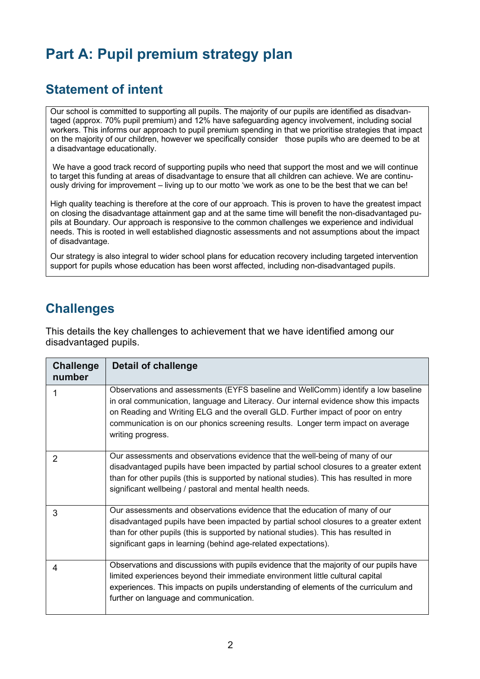# **Part A: Pupil premium strategy plan**

#### **Statement of intent**

Our school is committed to supporting all pupils. The majority of our pupils are identified as disadvantaged (approx. 70% pupil premium) and 12% have safeguarding agency involvement, including social workers. This informs our approach to pupil premium spending in that we prioritise strategies that impact on the majority of our children, however we specifically consider those pupils who are deemed to be at a disadvantage educationally.

We have a good track record of supporting pupils who need that support the most and we will continue to target this funding at areas of disadvantage to ensure that all children can achieve. We are continuously driving for improvement – living up to our motto 'we work as one to be the best that we can be!

High quality teaching is therefore at the core of our approach. This is proven to have the greatest impact on closing the disadvantage attainment gap and at the same time will benefit the non-disadvantaged pupils at Boundary. Our approach is responsive to the common challenges we experience and individual needs. This is rooted in well established diagnostic assessments and not assumptions about the impact of disadvantage.

Our strategy is also integral to wider school plans for education recovery including targeted intervention support for pupils whose education has been worst affected, including non-disadvantaged pupils.

### **Challenges**

This details the key challenges to achievement that we have identified among our disadvantaged pupils.

| <b>Challenge</b><br>number | Detail of challenge                                                                                                                                                                                                                                                                                                                                                    |
|----------------------------|------------------------------------------------------------------------------------------------------------------------------------------------------------------------------------------------------------------------------------------------------------------------------------------------------------------------------------------------------------------------|
|                            | Observations and assessments (EYFS baseline and WellComm) identify a low baseline<br>in oral communication, language and Literacy. Our internal evidence show this impacts<br>on Reading and Writing ELG and the overall GLD. Further impact of poor on entry<br>communication is on our phonics screening results. Longer term impact on average<br>writing progress. |
| 2                          | Our assessments and observations evidence that the well-being of many of our<br>disadvantaged pupils have been impacted by partial school closures to a greater extent<br>than for other pupils (this is supported by national studies). This has resulted in more<br>significant wellbeing / pastoral and mental health needs.                                        |
| 3                          | Our assessments and observations evidence that the education of many of our<br>disadvantaged pupils have been impacted by partial school closures to a greater extent<br>than for other pupils (this is supported by national studies). This has resulted in<br>significant gaps in learning (behind age-related expectations).                                        |
| 4                          | Observations and discussions with pupils evidence that the majority of our pupils have<br>limited experiences beyond their immediate environment little cultural capital<br>experiences. This impacts on pupils understanding of elements of the curriculum and<br>further on language and communication.                                                              |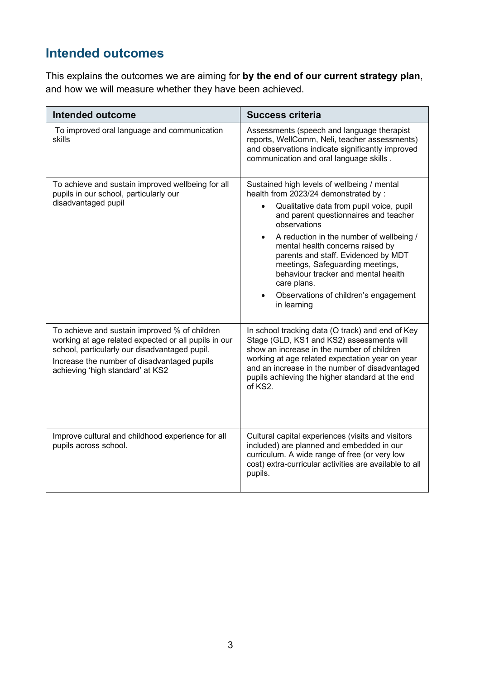## **Intended outcomes**

This explains the outcomes we are aiming for **by the end of our current strategy plan**, and how we will measure whether they have been achieved.

| Intended outcome                                                                                                                                                                                                                          | <b>Success criteria</b>                                                                                                                                                                                                                                                                                                                                                                                                                                                                     |  |
|-------------------------------------------------------------------------------------------------------------------------------------------------------------------------------------------------------------------------------------------|---------------------------------------------------------------------------------------------------------------------------------------------------------------------------------------------------------------------------------------------------------------------------------------------------------------------------------------------------------------------------------------------------------------------------------------------------------------------------------------------|--|
| To improved oral language and communication<br>skills                                                                                                                                                                                     | Assessments (speech and language therapist<br>reports, WellComm, Neli, teacher assessments)<br>and observations indicate significantly improved<br>communication and oral language skills.                                                                                                                                                                                                                                                                                                  |  |
| To achieve and sustain improved wellbeing for all<br>pupils in our school, particularly our<br>disadvantaged pupil                                                                                                                        | Sustained high levels of wellbeing / mental<br>health from 2023/24 demonstrated by:<br>Qualitative data from pupil voice, pupil<br>$\bullet$<br>and parent questionnaires and teacher<br>observations<br>A reduction in the number of wellbeing /<br>$\bullet$<br>mental health concerns raised by<br>parents and staff. Evidenced by MDT<br>meetings, Safeguarding meetings,<br>behaviour tracker and mental health<br>care plans.<br>Observations of children's engagement<br>in learning |  |
| To achieve and sustain improved % of children<br>working at age related expected or all pupils in our<br>school, particularly our disadvantaged pupil.<br>Increase the number of disadvantaged pupils<br>achieving 'high standard' at KS2 | In school tracking data (O track) and end of Key<br>Stage (GLD, KS1 and KS2) assessments will<br>show an increase in the number of children<br>working at age related expectation year on year<br>and an increase in the number of disadvantaged<br>pupils achieving the higher standard at the end<br>of KS2.                                                                                                                                                                              |  |
| Improve cultural and childhood experience for all<br>pupils across school.                                                                                                                                                                | Cultural capital experiences (visits and visitors<br>included) are planned and embedded in our<br>curriculum. A wide range of free (or very low<br>cost) extra-curricular activities are available to all<br>pupils.                                                                                                                                                                                                                                                                        |  |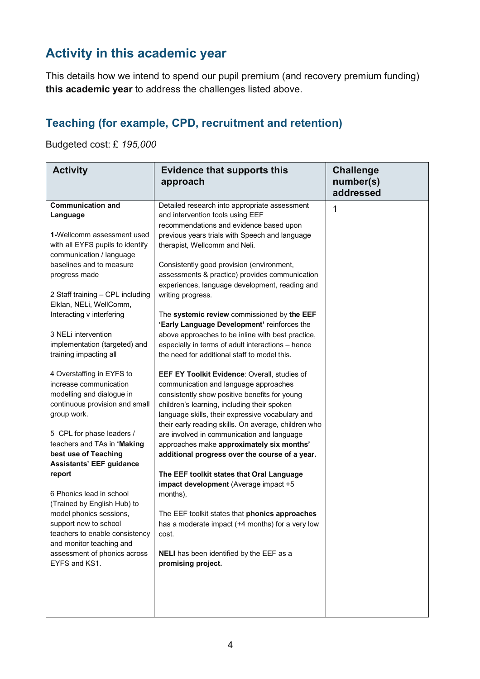## **Activity in this academic year**

This details how we intend to spend our pupil premium (and recovery premium funding) **this academic year** to address the challenges listed above.

#### **Teaching (for example, CPD, recruitment and retention)**

Budgeted cost: £ *195,000*

| <b>Activity</b>                                             | <b>Evidence that supports this</b><br>approach       | <b>Challenge</b><br>number(s)<br>addressed |
|-------------------------------------------------------------|------------------------------------------------------|--------------------------------------------|
| <b>Communication and</b>                                    | Detailed research into appropriate assessment        | 1                                          |
| Language                                                    | and intervention tools using EEF                     |                                            |
|                                                             | recommendations and evidence based upon              |                                            |
| 1-Wellcomm assessment used                                  | previous years trials with Speech and language       |                                            |
| with all EYFS pupils to identify                            | therapist, Wellcomm and Neli.                        |                                            |
| communication / language                                    |                                                      |                                            |
| baselines and to measure                                    | Consistently good provision (environment,            |                                            |
| progress made                                               | assessments & practice) provides communication       |                                            |
|                                                             | experiences, language development, reading and       |                                            |
| 2 Staff training - CPL including<br>Elklan, NELi, WellComm, | writing progress.                                    |                                            |
| Interacting v interfering                                   | The systemic review commissioned by the EEF          |                                            |
|                                                             | 'Early Language Development' reinforces the          |                                            |
| 3 NELi intervention                                         | above approaches to be inline with best practice,    |                                            |
| implementation (targeted) and                               | especially in terms of adult interactions - hence    |                                            |
| training impacting all                                      | the need for additional staff to model this.         |                                            |
| 4 Overstaffing in EYFS to                                   | EEF EY Toolkit Evidence: Overall, studies of         |                                            |
| increase communication                                      | communication and language approaches                |                                            |
| modelling and dialogue in                                   | consistently show positive benefits for young        |                                            |
| continuous provision and small                              | children's learning, including their spoken          |                                            |
| group work.                                                 | language skills, their expressive vocabulary and     |                                            |
|                                                             | their early reading skills. On average, children who |                                            |
| 5 CPL for phase leaders /                                   | are involved in communication and language           |                                            |
| teachers and TAs in 'Making                                 | approaches make approximately six months'            |                                            |
| best use of Teaching                                        | additional progress over the course of a year.       |                                            |
| <b>Assistants' EEF guidance</b>                             |                                                      |                                            |
| report                                                      | The EEF toolkit states that Oral Language            |                                            |
|                                                             | impact development (Average impact +5                |                                            |
| 6 Phonics lead in school                                    | months),                                             |                                            |
| (Trained by English Hub) to                                 |                                                      |                                            |
| model phonics sessions,                                     | The EEF toolkit states that phonics approaches       |                                            |
| support new to school                                       | has a moderate impact (+4 months) for a very low     |                                            |
| teachers to enable consistency                              | cost.                                                |                                            |
| and monitor teaching and                                    |                                                      |                                            |
| assessment of phonics across                                | NELI has been identified by the EEF as a             |                                            |
| EYFS and KS1.                                               | promising project.                                   |                                            |
|                                                             |                                                      |                                            |
|                                                             |                                                      |                                            |
|                                                             |                                                      |                                            |
|                                                             |                                                      |                                            |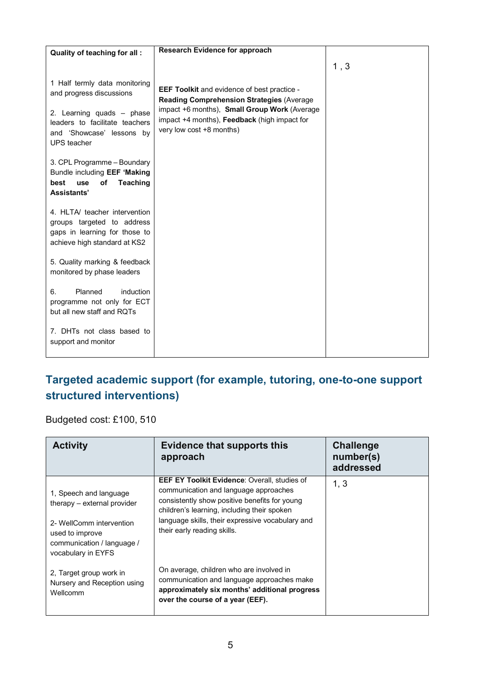| Quality of teaching for all:                                                                                                 | <b>Research Evidence for approach</b>                                                                                    |      |
|------------------------------------------------------------------------------------------------------------------------------|--------------------------------------------------------------------------------------------------------------------------|------|
|                                                                                                                              |                                                                                                                          | 1, 3 |
| 1 Half termly data monitoring<br>and progress discussions                                                                    | <b>EEF Toolkit and evidence of best practice -</b><br><b>Reading Comprehension Strategies (Average</b>                   |      |
| 2. Learning quads - phase<br>leaders to facilitate teachers<br>and 'Showcase' lessons by<br><b>UPS</b> teacher               | impact +6 months), Small Group Work (Average<br>impact +4 months), Feedback (high impact for<br>very low cost +8 months) |      |
| 3. CPL Programme - Boundary<br>Bundle including EEF 'Making<br>of<br><b>Teaching</b><br>best<br>use<br>Assistants'           |                                                                                                                          |      |
| 4. HLTA/ teacher intervention<br>groups targeted to address<br>gaps in learning for those to<br>achieve high standard at KS2 |                                                                                                                          |      |
| 5. Quality marking & feedback<br>monitored by phase leaders                                                                  |                                                                                                                          |      |
| 6.<br>Planned<br>induction<br>programme not only for ECT<br>but all new staff and RQTs                                       |                                                                                                                          |      |
| 7. DHTs not class based to<br>support and monitor                                                                            |                                                                                                                          |      |

#### **Targeted academic support (for example, tutoring, one-to-one support structured interventions)**

Budgeted cost: £100, 510

| <b>Activity</b>                                                                                                                                          | <b>Evidence that supports this</b><br>approach                                                                                                                                                                                                                           | <b>Challenge</b><br>number(s)<br>addressed |
|----------------------------------------------------------------------------------------------------------------------------------------------------------|--------------------------------------------------------------------------------------------------------------------------------------------------------------------------------------------------------------------------------------------------------------------------|--------------------------------------------|
| 1, Speech and language<br>therapy – external provider<br>2- WellComm intervention<br>used to improve<br>communication / language /<br>vocabulary in EYFS | EEF EY Toolkit Evidence: Overall, studies of<br>communication and language approaches<br>consistently show positive benefits for young<br>children's learning, including their spoken<br>language skills, their expressive vocabulary and<br>their early reading skills. | 1, 3                                       |
| 2, Target group work in<br>Nursery and Reception using<br>Wellcomm                                                                                       | On average, children who are involved in<br>communication and language approaches make<br>approximately six months' additional progress<br>over the course of a year (EEF).                                                                                              |                                            |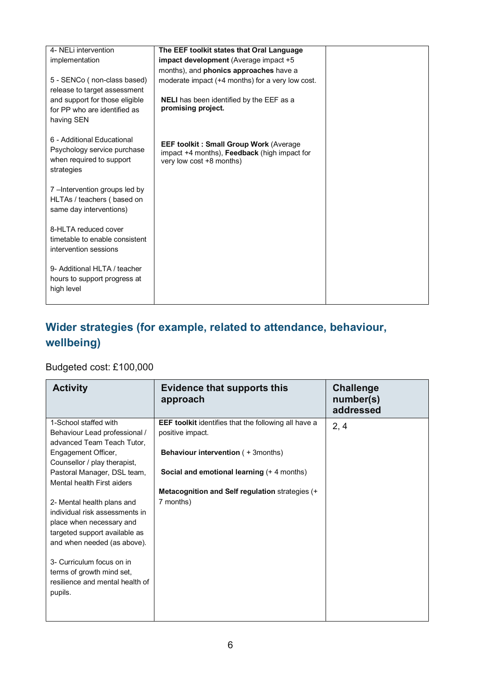| 4- NELi intervention           | The EEF toolkit states that Oral Language        |  |
|--------------------------------|--------------------------------------------------|--|
| implementation                 | <b>impact development</b> (Average impact +5     |  |
|                                | months), and phonics approaches have a           |  |
| 5 - SENCo (non-class based)    | moderate impact (+4 months) for a very low cost. |  |
| release to target assessment   |                                                  |  |
| and support for those eligible | <b>NELI</b> has been identified by the EEF as a  |  |
| for PP who are identified as   | promising project.                               |  |
| having SEN                     |                                                  |  |
|                                |                                                  |  |
| 6 - Additional Educational     | <b>EEF toolkit: Small Group Work (Average)</b>   |  |
| Psychology service purchase    | impact +4 months), Feedback (high impact for     |  |
| when required to support       | very low cost +8 months)                         |  |
| strategies                     |                                                  |  |
| 7-Intervention groups led by   |                                                  |  |
| HLTAs / teachers (based on     |                                                  |  |
| same day interventions)        |                                                  |  |
|                                |                                                  |  |
| 8-HLTA reduced cover           |                                                  |  |
| timetable to enable consistent |                                                  |  |
| intervention sessions          |                                                  |  |
|                                |                                                  |  |
| 9- Additional HLTA / teacher   |                                                  |  |
| hours to support progress at   |                                                  |  |
| high level                     |                                                  |  |
|                                |                                                  |  |

### **Wider strategies (for example, related to attendance, behaviour, wellbeing)**

#### Budgeted cost: £100,000

| <b>Activity</b>                                                                                                                                                                                                                                                                                                                                                      | <b>Evidence that supports this</b><br>approach                                                                                                                                                                                           | <b>Challenge</b><br>number(s)<br>addressed |
|----------------------------------------------------------------------------------------------------------------------------------------------------------------------------------------------------------------------------------------------------------------------------------------------------------------------------------------------------------------------|------------------------------------------------------------------------------------------------------------------------------------------------------------------------------------------------------------------------------------------|--------------------------------------------|
| 1-School staffed with<br>Behaviour Lead professional /<br>advanced Team Teach Tutor,<br>Engagement Officer,<br>Counsellor / play therapist,<br>Pastoral Manager, DSL team,<br>Mental health First aiders<br>2- Mental health plans and<br>individual risk assessments in<br>place when necessary and<br>targeted support available as<br>and when needed (as above). | <b>EEF toolkit</b> identifies that the following all have a<br>positive impact.<br><b>Behaviour intervention (+3months)</b><br>Social and emotional learning (+4 months)<br>Metacognition and Self regulation strategies (+<br>7 months) | 2, 4                                       |
| 3- Curriculum focus on in<br>terms of growth mind set,<br>resilience and mental health of<br>pupils.                                                                                                                                                                                                                                                                 |                                                                                                                                                                                                                                          |                                            |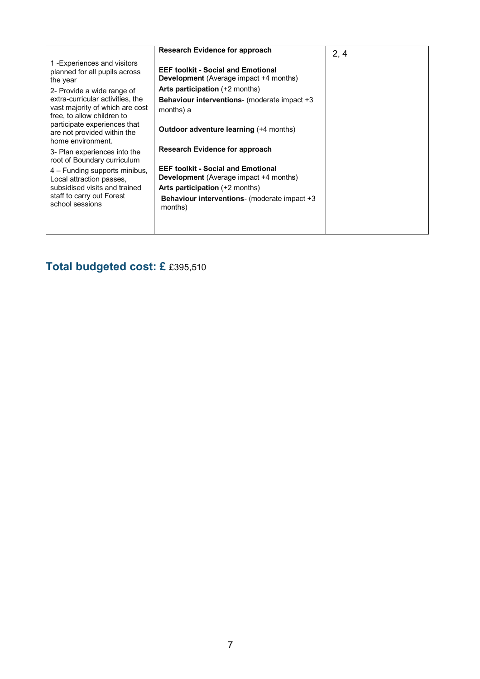|                                                                                                                | <b>Research Evidence for approach</b>                                                      | 2, 4 |
|----------------------------------------------------------------------------------------------------------------|--------------------------------------------------------------------------------------------|------|
| 1-Experiences and visitors<br>planned for all pupils across<br>the year                                        | <b>EEF toolkit - Social and Emotional</b><br><b>Development</b> (Average impact +4 months) |      |
| 2- Provide a wide range of                                                                                     | <b>Arts participation</b> (+2 months)                                                      |      |
| extra-curricular activities, the                                                                               | <b>Behaviour interventions-</b> (moderate impact +3                                        |      |
| vast majority of which are cost                                                                                | months) a                                                                                  |      |
| free, to allow children to<br>participate experiences that<br>are not provided within the<br>home environment. | <b>Outdoor adventure learning (+4 months)</b>                                              |      |
| 3- Plan experiences into the<br>root of Boundary curriculum                                                    | Research Evidence for approach                                                             |      |
| 4 – Funding supports minibus,<br>Local attraction passes,                                                      | <b>EEF toolkit - Social and Emotional</b><br><b>Development</b> (Average impact +4 months) |      |
| subsidised visits and trained                                                                                  | <b>Arts participation</b> (+2 months)                                                      |      |
| staff to carry out Forest<br>school sessions                                                                   | <b>Behaviour interventions-</b> (moderate impact +3<br>months)                             |      |
|                                                                                                                |                                                                                            |      |
|                                                                                                                |                                                                                            |      |

## **Total budgeted cost: £** £395,510